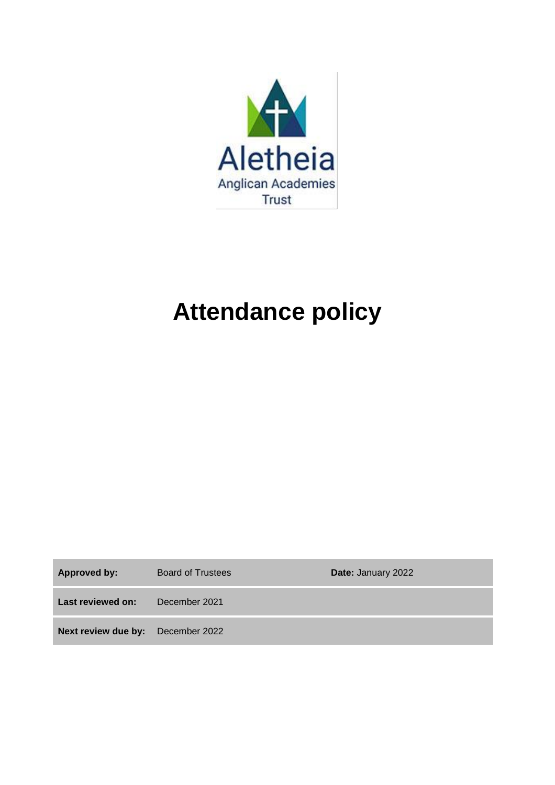

# **Attendance policy**

| <b>Approved by:</b>                      | Board of Trustees | Date: January 2022 |
|------------------------------------------|-------------------|--------------------|
| Last reviewed on:                        | December 2021     |                    |
| <b>Next review due by:</b> December 2022 |                   |                    |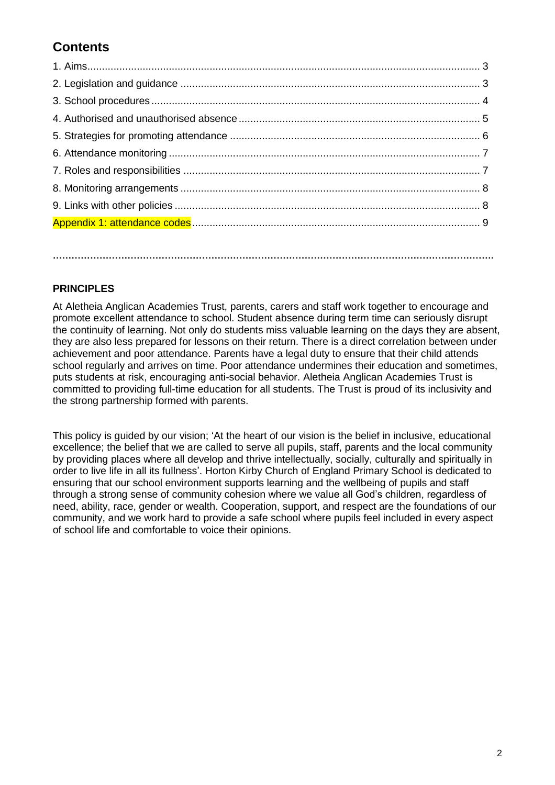# **Contents**

**…………………………………………………………………………………………………………………………….**

# **PRINCIPLES**

At Aletheia Anglican Academies Trust, parents, carers and staff work together to encourage and promote excellent attendance to school. Student absence during term time can seriously disrupt the continuity of learning. Not only do students miss valuable learning on the days they are absent, they are also less prepared for lessons on their return. There is a direct correlation between under achievement and poor attendance. Parents have a legal duty to ensure that their child attends school regularly and arrives on time. Poor attendance undermines their education and sometimes, puts students at risk, encouraging anti-social behavior. Aletheia Anglican Academies Trust is committed to providing full-time education for all students. The Trust is proud of its inclusivity and the strong partnership formed with parents.

This policy is guided by our vision; 'At the heart of our vision is the belief in inclusive, educational excellence; the belief that we are called to serve all pupils, staff, parents and the local community by providing places where all develop and thrive intellectually, socially, culturally and spiritually in order to live life in all its fullness'. Horton Kirby Church of England Primary School is dedicated to ensuring that our school environment supports learning and the wellbeing of pupils and staff through a strong sense of community cohesion where we value all God's children, regardless of need, ability, race, gender or wealth. Cooperation, support, and respect are the foundations of our community, and we work hard to provide a safe school where pupils feel included in every aspect of school life and comfortable to voice their opinions.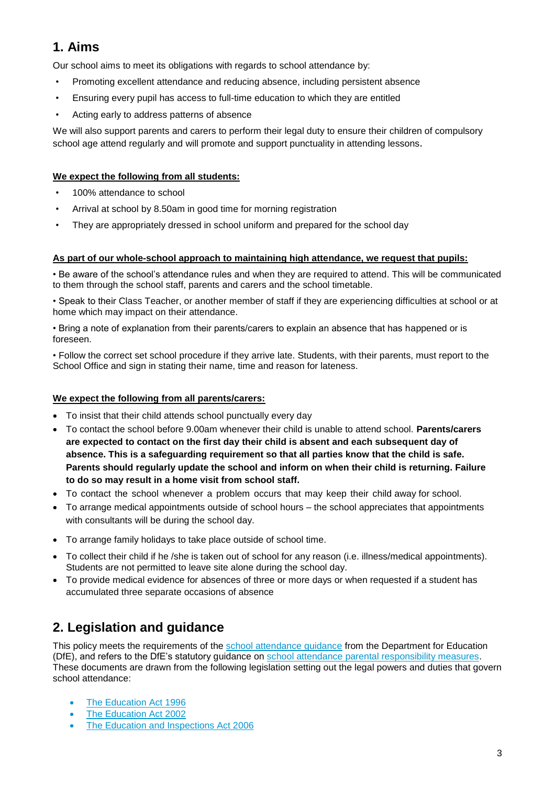# **1. Aims**

Our school aims to meet its obligations with regards to school attendance by:

- Promoting excellent attendance and reducing absence, including persistent absence
- Ensuring every pupil has access to full-time education to which they are entitled
- Acting early to address patterns of absence

We will also support parents and carers to perform their legal duty to ensure their children of compulsory school age attend regularly and will promote and support punctuality in attending lessons.

## **We expect the following from all students:**

- 100% attendance to school
- Arrival at school by 8.50am in good time for morning registration
- They are appropriately dressed in school uniform and prepared for the school day

#### **As part of our whole-school approach to maintaining high attendance, we request that pupils:**

• Be aware of the school's attendance rules and when they are required to attend. This will be communicated to them through the school staff, parents and carers and the school timetable.

• Speak to their Class Teacher, or another member of staff if they are experiencing difficulties at school or at home which may impact on their attendance.

• Bring a note of explanation from their parents/carers to explain an absence that has happened or is foreseen.

• Follow the correct set school procedure if they arrive late. Students, with their parents, must report to the School Office and sign in stating their name, time and reason for lateness.

## **We expect the following from all parents/carers:**

- To insist that their child attends school punctually every day
- To contact the school before 9.00am whenever their child is unable to attend school. **Parents/carers are expected to contact on the first day their child is absent and each subsequent day of absence. This is a safeguarding requirement so that all parties know that the child is safe. Parents should regularly update the school and inform on when their child is returning. Failure to do so may result in a home visit from school staff.**
- To contact the school whenever a problem occurs that may keep their child away for school.
- To arrange medical appointments outside of school hours the school appreciates that appointments with consultants will be during the school day.
- To arrange family holidays to take place outside of school time.
- To collect their child if he /she is taken out of school for any reason (i.e. illness/medical appointments). Students are not permitted to leave site alone during the school day.
- To provide medical evidence for absences of three or more days or when requested if a student has accumulated three separate occasions of absence

# **2. Legislation and guidance**

This policy meets the requirements of the [school attendance guidance](https://www.gov.uk/government/publications/school-attendance) from the Department for Education (DfE), and refers to the DfE's statutory guidance on [school attendance parental responsibility measures.](https://www.gov.uk/government/publications/parental-responsibility-measures-for-behaviour-and-attendance) These documents are drawn from the following legislation setting out the legal powers and duties that govern school attendance:

- [The Education Act 1996](https://www.legislation.gov.uk/ukpga/1996/56/part/VI/chapter/II)
- [The Education Act 2002](http://www.legislation.gov.uk/ukpga/2002/32/part/3/chapter/3)
- [The Education and Inspections Act 2006](http://www.legislation.gov.uk/ukpga/2006/40/part/7/chapter/2/crossheading/school-attendance)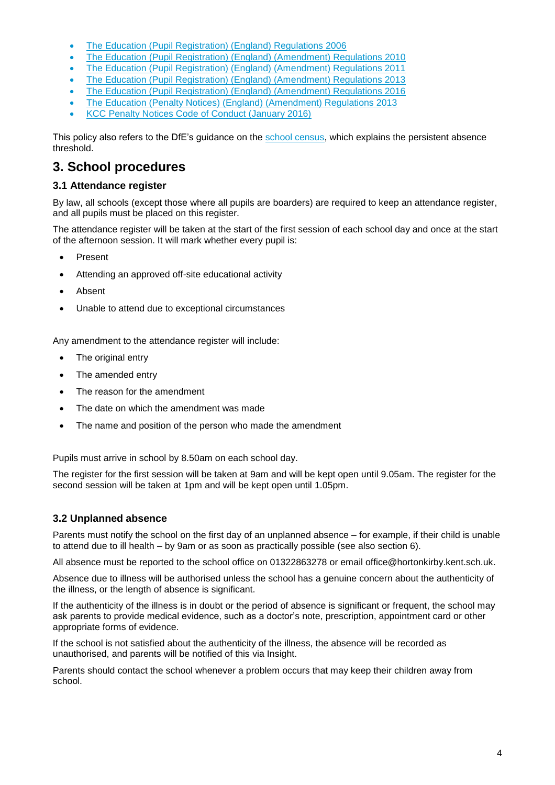- [The Education \(Pupil Registration\) \(England\) Regulations 2006](http://www.legislation.gov.uk/uksi/2006/1751/contents/made)
- [The Education \(Pupil Registration\) \(England\) \(Amendment\) Regulations 2010](http://www.centralbedfordshire.gov.uk/Images/amendment-regulation-2010_tcm3-8642.pdf)
- [The Education \(Pupil Registration\) \(England\) \(Amendment\) Regulations 2011](http://www.legislation.gov.uk/uksi/2011/1625/made)
- [The Education \(Pupil Registration\) \(England\) \(Amendment\) Regulations 2013](http://www.legislation.gov.uk/uksi/2013/756/made)
- [The Education \(Pupil Registration\) \(England\) \(Amendment\) Regulations 2016](http://legislation.data.gov.uk/uksi/2016/792/made/data.html)
- [The Education \(Penalty Notices\) \(England\) \(Amendment\) Regulations 2013](http://www.legislation.gov.uk/uksi/2013/756/pdfs/uksiem_20130756_en.pdf)
- KCC Penalty Notices Code of Conduct (January 2016)

This policy also refers to the DfE's guidance on the [school census,](https://www.gov.uk/government/publications/school-census-2017-to-2018-guide-for-schools-and-las) which explains the persistent absence threshold.

# **3. School procedures**

#### **3.1 Attendance register**

By law, all schools (except those where all pupils are boarders) are required to keep an attendance register, and all pupils must be placed on this register.

The attendance register will be taken at the start of the first session of each school day and once at the start of the afternoon session. It will mark whether every pupil is:

- Present
- Attending an approved off-site educational activity
- Absent
- Unable to attend due to exceptional circumstances

Any amendment to the attendance register will include:

- The original entry
- The amended entry
- The reason for the amendment
- The date on which the amendment was made
- The name and position of the person who made the amendment

Pupils must arrive in school by 8.50am on each school day.

The register for the first session will be taken at 9am and will be kept open until 9.05am. The register for the second session will be taken at 1pm and will be kept open until 1.05pm.

#### **3.2 Unplanned absence**

Parents must notify the school on the first day of an unplanned absence – for example, if their child is unable to attend due to ill health – by 9am or as soon as practically possible (see also section 6).

All absence must be reported to the school office on 01322863278 or email office@hortonkirby.kent.sch.uk.

Absence due to illness will be authorised unless the school has a genuine concern about the authenticity of the illness, or the length of absence is significant.

If the authenticity of the illness is in doubt or the period of absence is significant or frequent, the school may ask parents to provide medical evidence, such as a doctor's note, prescription, appointment card or other appropriate forms of evidence.

If the school is not satisfied about the authenticity of the illness, the absence will be recorded as unauthorised, and parents will be notified of this via Insight.

Parents should contact the school whenever a problem occurs that may keep their children away from school.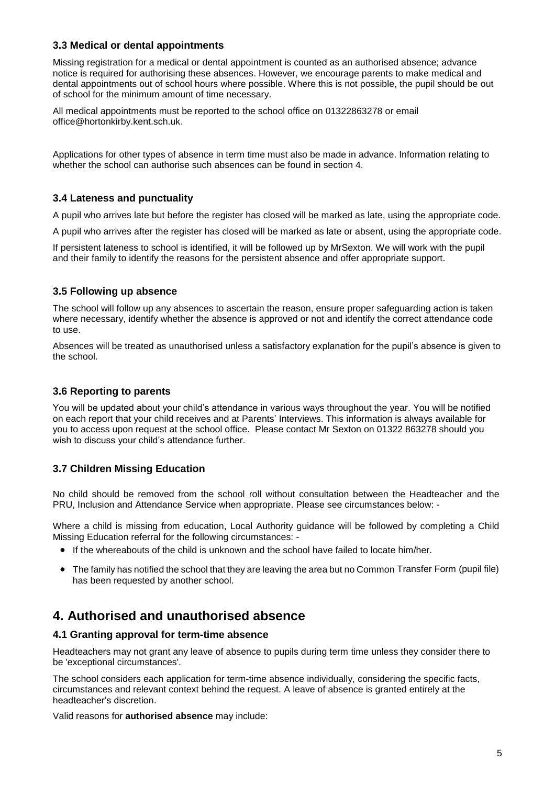## **3.3 Medical or dental appointments**

Missing registration for a medical or dental appointment is counted as an authorised absence; advance notice is required for authorising these absences. However, we encourage parents to make medical and dental appointments out of school hours where possible. Where this is not possible, the pupil should be out of school for the minimum amount of time necessary.

All medical appointments must be reported to the school office on 01322863278 or email office@hortonkirby.kent.sch.uk.

Applications for other types of absence in term time must also be made in advance. Information relating to whether the school can authorise such absences can be found in section 4.

## **3.4 Lateness and punctuality**

A pupil who arrives late but before the register has closed will be marked as late, using the appropriate code.

A pupil who arrives after the register has closed will be marked as late or absent, using the appropriate code.

If persistent lateness to school is identified, it will be followed up by MrSexton. We will work with the pupil and their family to identify the reasons for the persistent absence and offer appropriate support.

## **3.5 Following up absence**

The school will follow up any absences to ascertain the reason, ensure proper safeguarding action is taken where necessary, identify whether the absence is approved or not and identify the correct attendance code to use.

Absences will be treated as unauthorised unless a satisfactory explanation for the pupil's absence is given to the school.

#### **3.6 Reporting to parents**

You will be updated about your child's attendance in various ways throughout the year. You will be notified on each report that your child receives and at Parents' Interviews. This information is always available for you to access upon request at the school office. Please contact Mr Sexton on 01322 863278 should you wish to discuss your child's attendance further.

## **3.7 Children Missing Education**

No child should be removed from the school roll without consultation between the Headteacher and the PRU, Inclusion and Attendance Service when appropriate. Please see circumstances below: -

Where a child is missing from education, Local Authority guidance will be followed by completing a Child Missing Education referral for the following circumstances: -

- If the whereabouts of the child is unknown and the school have failed to locate him/her.
- The family has notified the school that they are leaving the area but no Common Transfer Form (pupil file) has been requested by another school.

# **4. Authorised and unauthorised absence**

#### **4.1 Granting approval for term-time absence**

Headteachers may not grant any leave of absence to pupils during term time unless they consider there to be 'exceptional circumstances'.

The school considers each application for term-time absence individually, considering the specific facts, circumstances and relevant context behind the request. A leave of absence is granted entirely at the headteacher's discretion.

Valid reasons for **authorised absence** may include: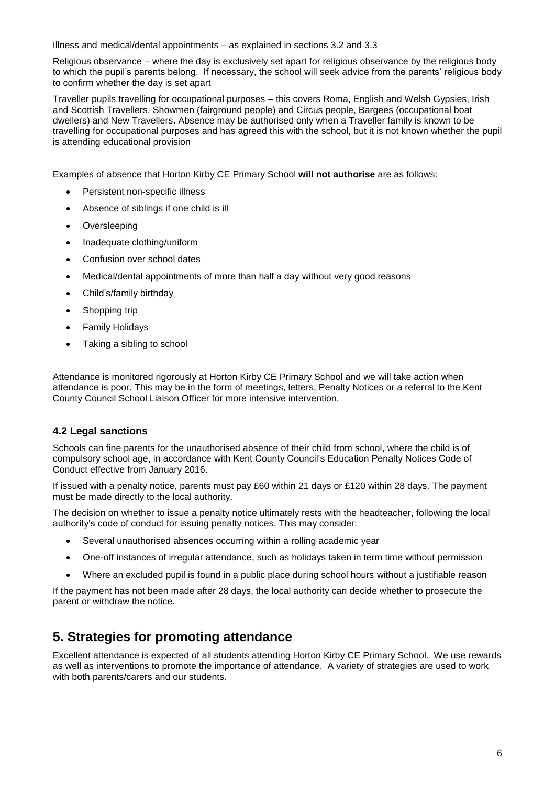Illness and medical/dental appointments – as explained in sections 3.2 and 3.3

Religious observance – where the day is exclusively set apart for religious observance by the religious body to which the pupil's parents belong. If necessary, the school will seek advice from the parents' religious body to confirm whether the day is set apart

Traveller pupils travelling for occupational purposes – this covers Roma, English and Welsh Gypsies, Irish and Scottish Travellers, Showmen (fairground people) and Circus people, Bargees (occupational boat dwellers) and New Travellers. Absence may be authorised only when a Traveller family is known to be travelling for occupational purposes and has agreed this with the school, but it is not known whether the pupil is attending educational provision

Examples of absence that Horton Kirby CE Primary School **will not authorise** are as follows:

- Persistent non-specific illness
- Absence of siblings if one child is ill
- Oversleeping
- Inadequate clothing/uniform
- Confusion over school dates
- Medical/dental appointments of more than half a day without very good reasons
- Child's/family birthday
- Shopping trip
- Family Holidays
- Taking a sibling to school

Attendance is monitored rigorously at Horton Kirby CE Primary School and we will take action when attendance is poor. This may be in the form of meetings, letters, Penalty Notices or a referral to the Kent County Council School Liaison Officer for more intensive intervention.

## **4.2 Legal sanctions**

Schools can fine parents for the unauthorised absence of their child from school, where the child is of compulsory school age, in accordance with Kent County Council's Education Penalty Notices Code of Conduct effective from January 2016.

If issued with a penalty notice, parents must pay £60 within 21 days or £120 within 28 days. The payment must be made directly to the local authority.

The decision on whether to issue a penalty notice ultimately rests with the headteacher, following the local authority's code of conduct for issuing penalty notices. This may consider:

- Several unauthorised absences occurring within a rolling academic year
- One-off instances of irregular attendance, such as holidays taken in term time without permission
- Where an excluded pupil is found in a public place during school hours without a justifiable reason

If the payment has not been made after 28 days, the local authority can decide whether to prosecute the parent or withdraw the notice.

# **5. Strategies for promoting attendance**

Excellent attendance is expected of all students attending Horton Kirby CE Primary School. We use rewards as well as interventions to promote the importance of attendance. A variety of strategies are used to work with both parents/carers and our students.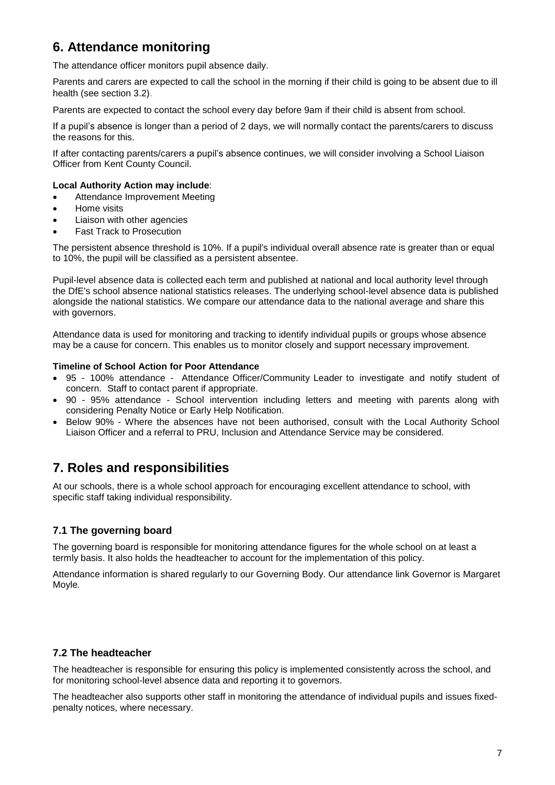# **6. Attendance monitoring**

The attendance officer monitors pupil absence daily.

Parents and carers are expected to call the school in the morning if their child is going to be absent due to ill health (see section 3.2).

Parents are expected to contact the school every day before 9am if their child is absent from school.

If a pupil's absence is longer than a period of 2 days, we will normally contact the parents/carers to discuss the reasons for this.

If after contacting parents/carers a pupil's absence continues, we will consider involving a School Liaison Officer from Kent County Council.

#### **Local Authority Action may include**:

- Attendance Improvement Meeting
- Home visits
- Liaison with other agencies
- Fast Track to Prosecution

The persistent absence threshold is 10%. If a pupil's individual overall absence rate is greater than or equal to 10%, the pupil will be classified as a persistent absentee.

Pupil-level absence data is collected each term and published at national and local authority level through the DfE's school absence national statistics releases. The underlying school-level absence data is published alongside the national statistics. We compare our attendance data to the national average and share this with governors.

Attendance data is used for monitoring and tracking to identify individual pupils or groups whose absence may be a cause for concern. This enables us to monitor closely and support necessary improvement.

#### **Timeline of School Action for Poor Attendance**

- 95 100% attendance Attendance Officer/Community Leader to investigate and notify student of concern. Staff to contact parent if appropriate.
- 90 95% attendance School intervention including letters and meeting with parents along with considering Penalty Notice or Early Help Notification.
- Below 90% Where the absences have not been authorised, consult with the Local Authority School Liaison Officer and a referral to PRU, Inclusion and Attendance Service may be considered.

# **7. Roles and responsibilities**

At our schools, there is a whole school approach for encouraging excellent attendance to school, with specific staff taking individual responsibility.

# **7.1 The governing board**

The governing board is responsible for monitoring attendance figures for the whole school on at least a termly basis. It also holds the headteacher to account for the implementation of this policy.

Attendance information is shared regularly to our Governing Body. Our attendance link Governor is Margaret Moyle*.*

## **7.2 The headteacher**

The headteacher is responsible for ensuring this policy is implemented consistently across the school, and for monitoring school-level absence data and reporting it to governors.

The headteacher also supports other staff in monitoring the attendance of individual pupils and issues fixedpenalty notices, where necessary.